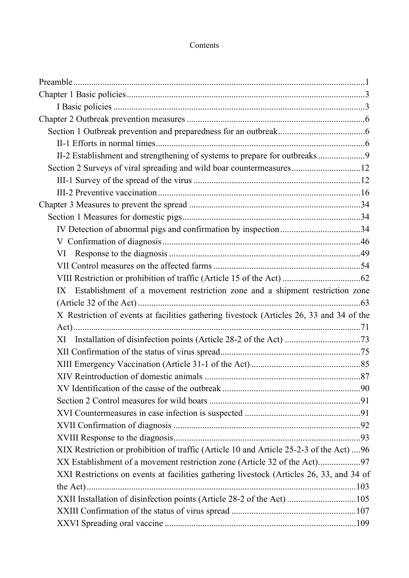## Contents

| II-2 Establishment and strengthening of systems to prepare for outbreaks9                |  |
|------------------------------------------------------------------------------------------|--|
| Section 2 Surveys of viral spreading and wild boar countermeasures12                     |  |
|                                                                                          |  |
|                                                                                          |  |
|                                                                                          |  |
|                                                                                          |  |
| IV Detection of abnormal pigs and confirmation by inspection34                           |  |
|                                                                                          |  |
|                                                                                          |  |
|                                                                                          |  |
|                                                                                          |  |
| IX Establishment of a movement restriction zone and a shipment restriction zone          |  |
|                                                                                          |  |
| X Restriction of events at facilities gathering livestock (Articles 26, 33 and 34 of the |  |
|                                                                                          |  |
|                                                                                          |  |
|                                                                                          |  |
|                                                                                          |  |
|                                                                                          |  |
|                                                                                          |  |
|                                                                                          |  |
|                                                                                          |  |
|                                                                                          |  |
|                                                                                          |  |
| XIX Restriction or prohibition of traffic (Article 10 and Article 25-2-3 of the Act) 96  |  |
|                                                                                          |  |
| XXI Restrictions on events at facilities gathering livestock (Articles 26, 33, and 34 of |  |
|                                                                                          |  |
| XXII Installation of disinfection points (Article 28-2 of the Act) 105                   |  |
|                                                                                          |  |
|                                                                                          |  |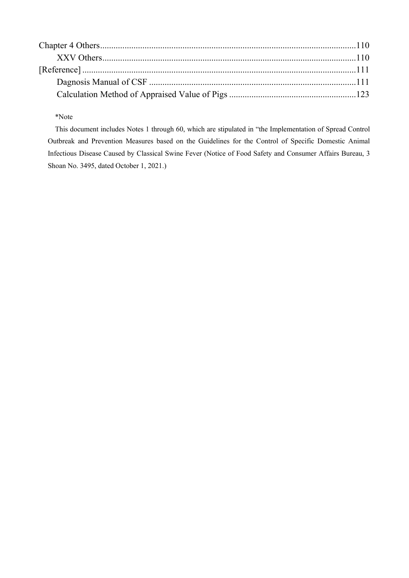### \*Note

This document includes Notes 1 through 60, which are stipulated in "the Implementation of Spread Control Outbreak and Prevention Measures based on the Guidelines for the Control of Specific Domestic Animal Infectious Disease Caused by Classical Swine Fever (Notice of Food Safety and Consumer Affairs Bureau, 3 Shoan No. 3495, dated October 1, 2021.)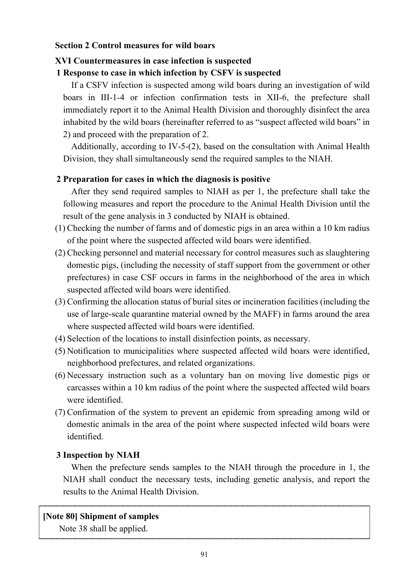## <span id="page-2-0"></span>**Section 2 Control measures for wild boars**

# <span id="page-2-1"></span>**XVI Countermeasures in case infection is suspected**

# **1 Response to case in which infection by CSFV is suspected**

If a CSFV infection is suspected among wild boars during an investigation of wild boars in III-1-4 or infection confirmation tests in XII-6, the prefecture shall immediately report it to the Animal Health Division and thoroughly disinfect the area inhabited by the wild boars (hereinafter referred to as "suspect affected wild boars" in 2) and proceed with the preparation of 2.

Additionally, according to IV-5-(2), based on the consultation with Animal Health Division, they shall simultaneously send the required samples to the NIAH.

## **2 Preparation for cases in which the diagnosis is positive**

After they send required samples to NIAH as per 1, the prefecture shall take the following measures and report the procedure to the Animal Health Division until the result of the gene analysis in 3 conducted by NIAH is obtained.

- (1) Checking the number of farms and of domestic pigs in an area within a 10 km radius of the point where the suspected affected wild boars were identified.
- (2) Checking personnel and material necessary for control measures such as slaughtering domestic pigs, (including the necessity of staff support from the government or other prefectures) in case CSF occurs in farms in the neighborhood of the area in which suspected affected wild boars were identified.
- (3) Confirming the allocation status of burial sites or incineration facilities (including the use of large-scale quarantine material owned by the MAFF) in farms around the area where suspected affected wild boars were identified.
- (4) Selection of the locations to install disinfection points, as necessary.
- (5) Notification to municipalities where suspected affected wild boars were identified, neighborhood prefectures, and related organizations.
- (6) Necessary instruction such as a voluntary ban on moving live domestic pigs or carcasses within a 10 km radius of the point where the suspected affected wild boars were identified.
- (7) Confirmation of the system to prevent an epidemic from spreading among wild or domestic animals in the area of the point where suspected infected wild boars were identified.

# **3 Inspection by NIAH**

When the prefecture sends samples to the NIAH through the procedure in 1, the NIAH shall conduct the necessary tests, including genetic analysis, and report the results to the Animal Health Division.

# **[Note 80] Shipment of samples**

Note 38 shall be applied.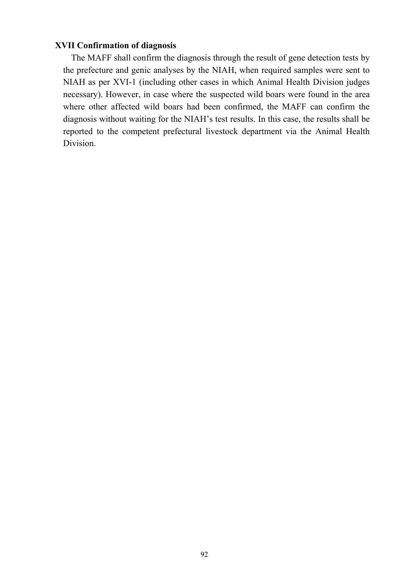## <span id="page-3-0"></span>**XVII Confirmation of diagnosis**

The MAFF shall confirm the diagnosis through the result of gene detection tests by the prefecture and genic analyses by the NIAH, when required samples were sent to NIAH as per XVI-1 (including other cases in which Animal Health Division judges necessary). However, in case where the suspected wild boars were found in the area where other affected wild boars had been confirmed, the MAFF can confirm the diagnosis without waiting for the NIAH's test results. In this case, the results shall be reported to the competent prefectural livestock department via the Animal Health Division.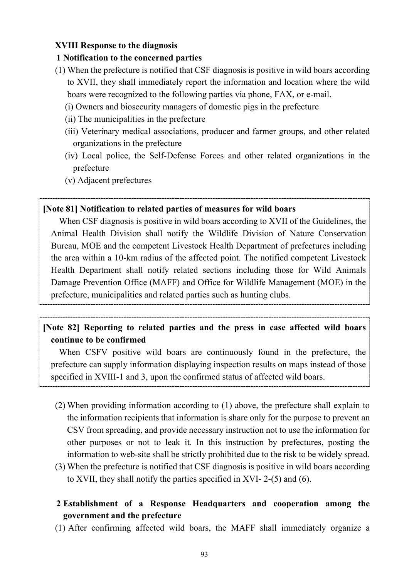## <span id="page-4-0"></span>**XVIII Response to the diagnosis**

## **1 Notification to the concerned parties**

- (1) When the prefecture is notified that CSF diagnosis is positive in wild boars according to XVII, they shall immediately report the information and location where the wild boars were recognized to the following parties via phone, FAX, or e-mail.
	- (i) Owners and biosecurity managers of domestic pigs in the prefecture
	- (ii) The municipalities in the prefecture
	- (iii) Veterinary medical associations, producer and farmer groups, and other related organizations in the prefecture
	- (iv) Local police, the Self-Defense Forces and other related organizations in the prefecture
	- (v) Adjacent prefectures

## **[Note 81] Notification to related parties of measures for wild boars**

When CSF diagnosis is positive in wild boars according to XVII of the Guidelines, the Animal Health Division shall notify the Wildlife Division of Nature Conservation Bureau, MOE and the competent Livestock Health Department of prefectures including the area within a 10-km radius of the affected point. The notified competent Livestock Health Department shall notify related sections including those for Wild Animals Damage Prevention Office (MAFF) and Office for Wildlife Management (MOE) in the prefecture, municipalities and related parties such as hunting clubs.

# **[Note 82] Reporting to related parties and the press in case affected wild boars continue to be confirmed**

When CSFV positive wild boars are continuously found in the prefecture, the prefecture can supply information displaying inspection results on maps instead of those specified in XVIII-1 and 3, upon the confirmed status of affected wild boars.

- (2) When providing information according to (1) above, the prefecture shall explain to the information recipients that information is share only for the purpose to prevent an CSV from spreading, and provide necessary instruction not to use the information for other purposes or not to leak it. In this instruction by prefectures, posting the information to web-site shall be strictly prohibited due to the risk to be widely spread.
- (3) When the prefecture is notified that CSF diagnosis is positive in wild boars according to XVII, they shall notify the parties specified in XVI- 2-(5) and (6).
- **2 Establishment of a Response Headquarters and cooperation among the government and the prefecture**
- (1) After confirming affected wild boars, the MAFF shall immediately organize a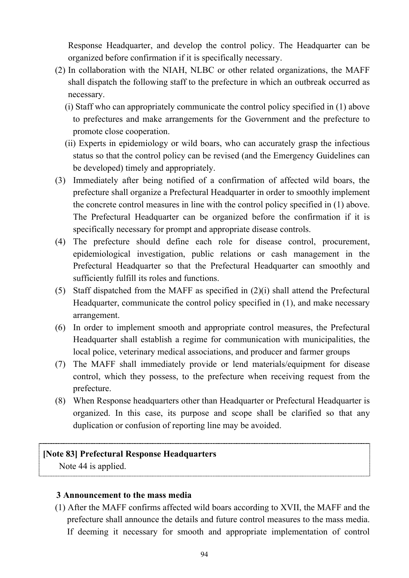Response Headquarter, and develop the control policy. The Headquarter can be organized before confirmation if it is specifically necessary.

- (2) In collaboration with the NIAH, NLBC or other related organizations, the MAFF shall dispatch the following staff to the prefecture in which an outbreak occurred as necessary.
	- (i) Staff who can appropriately communicate the control policy specified in (1) above to prefectures and make arrangements for the Government and the prefecture to promote close cooperation.
	- (ii) Experts in epidemiology or wild boars, who can accurately grasp the infectious status so that the control policy can be revised (and the Emergency Guidelines can be developed) timely and appropriately.
- (3) Immediately after being notified of a confirmation of affected wild boars, the prefecture shall organize a Prefectural Headquarter in order to smoothly implement the concrete control measures in line with the control policy specified in (1) above. The Prefectural Headquarter can be organized before the confirmation if it is specifically necessary for prompt and appropriate disease controls.
- (4) The prefecture should define each role for disease control, procurement, epidemiological investigation, public relations or cash management in the Prefectural Headquarter so that the Prefectural Headquarter can smoothly and sufficiently fulfill its roles and functions.
- (5) Staff dispatched from the MAFF as specified in (2)(i) shall attend the Prefectural Headquarter, communicate the control policy specified in (1), and make necessary arrangement.
- (6) In order to implement smooth and appropriate control measures, the Prefectural Headquarter shall establish a regime for communication with municipalities, the local police, veterinary medical associations, and producer and farmer groups
- (7) The MAFF shall immediately provide or lend materials/equipment for disease control, which they possess, to the prefecture when receiving request from the prefecture.
- (8) When Response headquarters other than Headquarter or Prefectural Headquarter is organized. In this case, its purpose and scope shall be clarified so that any duplication or confusion of reporting line may be avoided.

## **[Note 83] Prefectural Response Headquarters**

Note 44 is applied.

## **3 Announcement to the mass media**

(1) After the MAFF confirms affected wild boars according to XVII, the MAFF and the prefecture shall announce the details and future control measures to the mass media. If deeming it necessary for smooth and appropriate implementation of control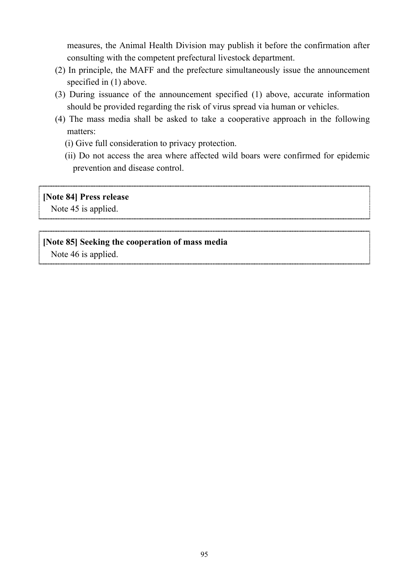measures, the Animal Health Division may publish it before the confirmation after consulting with the competent prefectural livestock department.

- (2) In principle, the MAFF and the prefecture simultaneously issue the announcement specified in (1) above.
- (3) During issuance of the announcement specified (1) above, accurate information should be provided regarding the risk of virus spread via human or vehicles.
- (4) The mass media shall be asked to take a cooperative approach in the following matters:
	- (i) Give full consideration to privacy protection.
	- (ii) Do not access the area where affected wild boars were confirmed for epidemic prevention and disease control.

## **[Note 84] Press release**

Note 45 is applied.

## **[Note 85] Seeking the cooperation of mass media**

Note 46 is applied.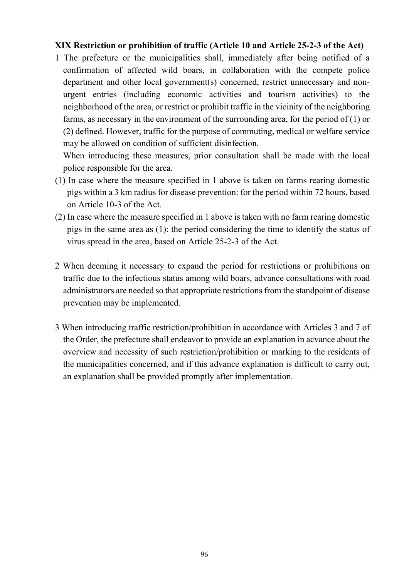## <span id="page-7-0"></span>**XIX Restriction or prohibition of traffic (Article 10 and Article 25-2-3 of the Act)**

1 The prefecture or the municipalities shall, immediately after being notified of a confirmation of affected wild boars, in collaboration with the compete police department and other local government(s) concerned, restrict unnecessary and nonurgent entries (including economic activities and tourism activities) to the neighborhood of the area, or restrict or prohibit traffic in the vicinity of the neighboring farms, as necessary in the environment of the surrounding area, for the period of (1) or (2) defined. However, traffic for the purpose of commuting, medical or welfare service may be allowed on condition of sufficient disinfection.

When introducing these measures, prior consultation shall be made with the local police responsible for the area.

- (1) In case where the measure specified in 1 above is taken on farms rearing domestic pigs within a 3 km radius for disease prevention: for the period within 72 hours, based on Article 10-3 of the Act.
- (2) In case where the measure specified in 1 above is taken with no farm rearing domestic pigs in the same area as (1): the period considering the time to identify the status of virus spread in the area, based on Article 25-2-3 of the Act.
- 2 When deeming it necessary to expand the period for restrictions or prohibitions on traffic due to the infectious status among wild boars, advance consultations with road administrators are needed so that appropriate restrictions from the standpoint of disease prevention may be implemented.
- 3 When introducing traffic restriction/prohibition in accordance with Articles 3 and 7 of the Order, the prefecture shall endeavor to provide an explanation in acvance about the overview and necessity of such restriction/prohibition or marking to the residents of the municipalities concerned, and if this advance explanation is difficult to carry out, an explanation shall be provided promptly after implementation.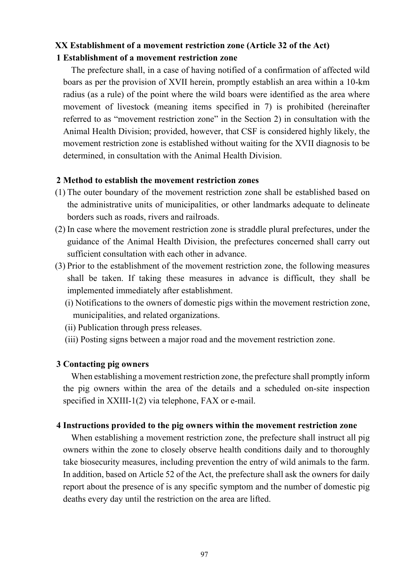## <span id="page-8-0"></span>**XX Establishment of a movement restriction zone (Article 32 of the Act) 1 Establishment of a movement restriction zone**

The prefecture shall, in a case of having notified of a confirmation of affected wild boars as per the provision of XVII herein, promptly establish an area within a 10-km radius (as a rule) of the point where the wild boars were identified as the area where movement of livestock (meaning items specified in 7) is prohibited (hereinafter referred to as "movement restriction zone" in the Section 2) in consultation with the Animal Health Division; provided, however, that CSF is considered highly likely, the movement restriction zone is established without waiting for the XVII diagnosis to be determined, in consultation with the Animal Health Division.

### **2 Method to establish the movement restriction zones**

- (1) The outer boundary of the movement restriction zone shall be established based on the administrative units of municipalities, or other landmarks adequate to delineate borders such as roads, rivers and railroads.
- (2) In case where the movement restriction zone is straddle plural prefectures, under the guidance of the Animal Health Division, the prefectures concerned shall carry out sufficient consultation with each other in advance.
- (3) Prior to the establishment of the movement restriction zone, the following measures shall be taken. If taking these measures in advance is difficult, they shall be implemented immediately after establishment.
	- (i) Notifications to the owners of domestic pigs within the movement restriction zone, municipalities, and related organizations.
	- (ii) Publication through press releases.
	- (iii) Posting signs between a major road and the movement restriction zone.

### **3 Contacting pig owners**

When establishing a movement restriction zone, the prefecture shall promptly inform the pig owners within the area of the details and a scheduled on-site inspection specified in XXIII-1(2) via telephone, FAX or e-mail.

### **4 Instructions provided to the pig owners within the movement restriction zone**

When establishing a movement restriction zone, the prefecture shall instruct all pig owners within the zone to closely observe health conditions daily and to thoroughly take biosecurity measures, including prevention the entry of wild animals to the farm. In addition, based on Article 52 of the Act, the prefecture shall ask the owners for daily report about the presence of is any specific symptom and the number of domestic pig deaths every day until the restriction on the area are lifted.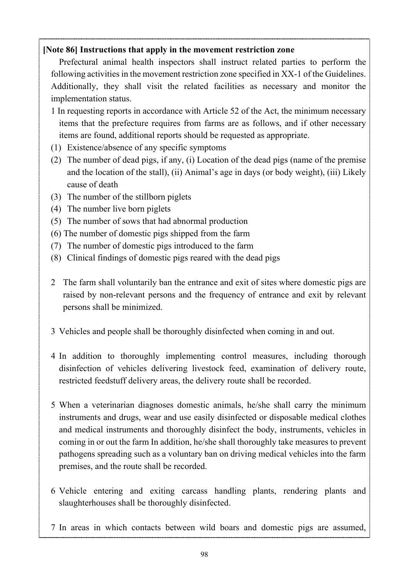# **[Note 86] Instructions that apply in the movement restriction zone**

Prefectural animal health inspectors shall instruct related parties to perform the following activities in the movement restriction zone specified in XX-1 of the Guidelines. Additionally, they shall visit the related facilities as necessary and monitor the implementation status.

- 1 In requesting reports in accordance with Article 52 of the Act, the minimum necessary items that the prefecture requires from farms are as follows, and if other necessary items are found, additional reports should be requested as appropriate.
- (1) Existence/absence of any specific symptoms
- (2) The number of dead pigs, if any, (i) Location of the dead pigs (name of the premise and the location of the stall), (ii) Animal's age in days (or body weight), (iii) Likely cause of death
- (3) The number of the stillborn piglets
- (4) The number live born piglets
- (5) The number of sows that had abnormal production
- (6) The number of domestic pigs shipped from the farm
- (7) The number of domestic pigs introduced to the farm
- (8) Clinical findings of domestic pigs reared with the dead pigs
- 2 The farm shall voluntarily ban the entrance and exit of sites where domestic pigs are raised by non-relevant persons and the frequency of entrance and exit by relevant persons shall be minimized.
- 3 Vehicles and people shall be thoroughly disinfected when coming in and out.
- 4 In addition to thoroughly implementing control measures, including thorough disinfection of vehicles delivering livestock feed, examination of delivery route, restricted feedstuff delivery areas, the delivery route shall be recorded.
- 5 When a veterinarian diagnoses domestic animals, he/she shall carry the minimum instruments and drugs, wear and use easily disinfected or disposable medical clothes and medical instruments and thoroughly disinfect the body, instruments, vehicles in coming in or out the farm In addition, he/she shall thoroughly take measures to prevent pathogens spreading such as a voluntary ban on driving medical vehicles into the farm premises, and the route shall be recorded.
- 6 Vehicle entering and exiting carcass handling plants, rendering plants and slaughterhouses shall be thoroughly disinfected.
- 7 In areas in which contacts between wild boars and domestic pigs are assumed,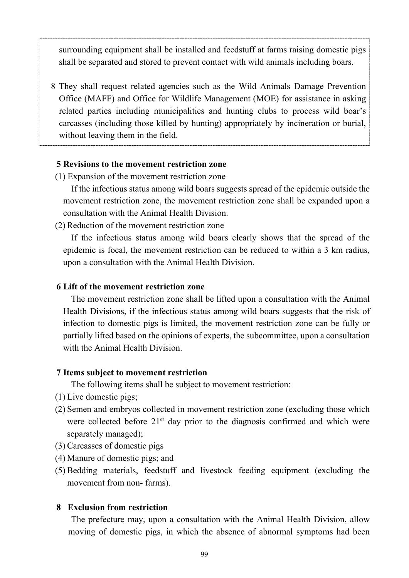surrounding equipment shall be installed and feedstuff at farms raising domestic pigs shall be separated and stored to prevent contact with wild animals including boars.

8 They shall request related agencies such as the Wild Animals Damage Prevention Office (MAFF) and Office for Wildlife Management (MOE) for assistance in asking related parties including municipalities and hunting clubs to process wild boar's carcasses (including those killed by hunting) appropriately by incineration or burial, without leaving them in the field.

### **5 Revisions to the movement restriction zone**

(1) Expansion of the movement restriction zone

If the infectious status among wild boars suggests spread of the epidemic outside the movement restriction zone, the movement restriction zone shall be expanded upon a consultation with the Animal Health Division.

(2) Reduction of the movement restriction zone

If the infectious status among wild boars clearly shows that the spread of the epidemic is focal, the movement restriction can be reduced to within a 3 km radius, upon a consultation with the Animal Health Division.

## **6 Lift of the movement restriction zone**

The movement restriction zone shall be lifted upon a consultation with the Animal Health Divisions, if the infectious status among wild boars suggests that the risk of infection to domestic pigs is limited, the movement restriction zone can be fully or partially lifted based on the opinions of experts, the subcommittee, upon a consultation with the Animal Health Division.

### **7 Items subject to movement restriction**

The following items shall be subject to movement restriction:

- (1) Live domestic pigs;
- (2) Semen and embryos collected in movement restriction zone (excluding those which were collected before  $21<sup>st</sup>$  day prior to the diagnosis confirmed and which were separately managed);
- (3) Carcasses of domestic pigs
- (4) Manure of domestic pigs; and
- (5) Bedding materials, feedstuff and livestock feeding equipment (excluding the movement from non- farms).

### **8 Exclusion from restriction**

The prefecture may, upon a consultation with the Animal Health Division, allow moving of domestic pigs, in which the absence of abnormal symptoms had been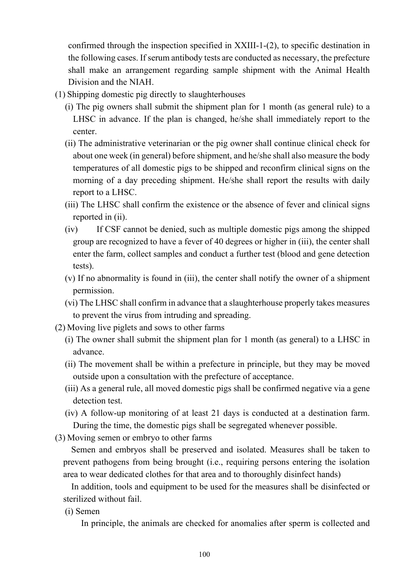confirmed through the inspection specified in XXIII-1-(2), to specific destination in the following cases. If serum antibody tests are conducted as necessary, the prefecture shall make an arrangement regarding sample shipment with the Animal Health Division and the NIAH.

- (1) Shipping domestic pig directly to slaughterhouses
	- (i) The pig owners shall submit the shipment plan for 1 month (as general rule) to a LHSC in advance. If the plan is changed, he/she shall immediately report to the center.
	- (ii) The administrative veterinarian or the pig owner shall continue clinical check for about one week (in general) before shipment, and he/she shall also measure the body temperatures of all domestic pigs to be shipped and reconfirm clinical signs on the morning of a day preceding shipment. He/she shall report the results with daily report to a LHSC.
	- (iii) The LHSC shall confirm the existence or the absence of fever and clinical signs reported in (ii).
	- (iv) If CSF cannot be denied, such as multiple domestic pigs among the shipped group are recognized to have a fever of 40 degrees or higher in (iii), the center shall enter the farm, collect samples and conduct a further test (blood and gene detection tests).
	- (v) If no abnormality is found in (iii), the center shall notify the owner of a shipment permission.
	- (vi) The LHSC shall confirm in advance that a slaughterhouse properly takes measures to prevent the virus from intruding and spreading.
- (2) Moving live piglets and sows to other farms
	- (i) The owner shall submit the shipment plan for 1 month (as general) to a LHSC in advance.
	- (ii) The movement shall be within a prefecture in principle, but they may be moved outside upon a consultation with the prefecture of acceptance.
	- (iii) As a general rule, all moved domestic pigs shall be confirmed negative via a gene detection test.
	- (iv) A follow-up monitoring of at least 21 days is conducted at a destination farm. During the time, the domestic pigs shall be segregated whenever possible.
- (3) Moving semen or embryo to other farms

Semen and embryos shall be preserved and isolated. Measures shall be taken to prevent pathogens from being brought (i.e., requiring persons entering the isolation area to wear dedicated clothes for that area and to thoroughly disinfect hands)

In addition, tools and equipment to be used for the measures shall be disinfected or sterilized without fail.

(i) Semen

In principle, the animals are checked for anomalies after sperm is collected and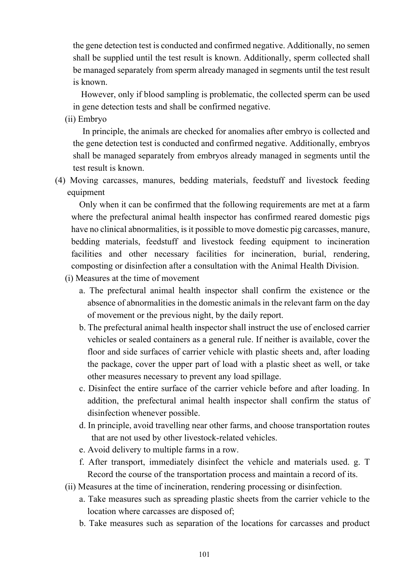the gene detection test is conducted and confirmed negative. Additionally, no semen shall be supplied until the test result is known. Additionally, sperm collected shall be managed separately from sperm already managed in segments until the test result is known.

However, only if blood sampling is problematic, the collected sperm can be used in gene detection tests and shall be confirmed negative.

(ii) Embryo

In principle, the animals are checked for anomalies after embryo is collected and the gene detection test is conducted and confirmed negative. Additionally, embryos shall be managed separately from embryos already managed in segments until the test result is known.

(4) Moving carcasses, manures, bedding materials, feedstuff and livestock feeding equipment

Only when it can be confirmed that the following requirements are met at a farm where the prefectural animal health inspector has confirmed reared domestic pigs have no clinical abnormalities, is it possible to move domestic pig carcasses, manure, bedding materials, feedstuff and livestock feeding equipment to incineration facilities and other necessary facilities for incineration, burial, rendering, composting or disinfection after a consultation with the Animal Health Division.

- (i) Measures at the time of movement
	- a. The prefectural animal health inspector shall confirm the existence or the absence of abnormalities in the domestic animals in the relevant farm on the day of movement or the previous night, by the daily report.
	- b. The prefectural animal health inspector shall instruct the use of enclosed carrier vehicles or sealed containers as a general rule. If neither is available, cover the floor and side surfaces of carrier vehicle with plastic sheets and, after loading the package, cover the upper part of load with a plastic sheet as well, or take other measures necessary to prevent any load spillage.
	- c. Disinfect the entire surface of the carrier vehicle before and after loading. In addition, the prefectural animal health inspector shall confirm the status of disinfection whenever possible.
	- d. In principle, avoid travelling near other farms, and choose transportation routes that are not used by other livestock-related vehicles.
	- e. Avoid delivery to multiple farms in a row.
	- f. After transport, immediately disinfect the vehicle and materials used. g. T Record the course of the transportation process and maintain a record of its.
- (ii) Measures at the time of incineration, rendering processing or disinfection.
	- a. Take measures such as spreading plastic sheets from the carrier vehicle to the location where carcasses are disposed of;
	- b. Take measures such as separation of the locations for carcasses and product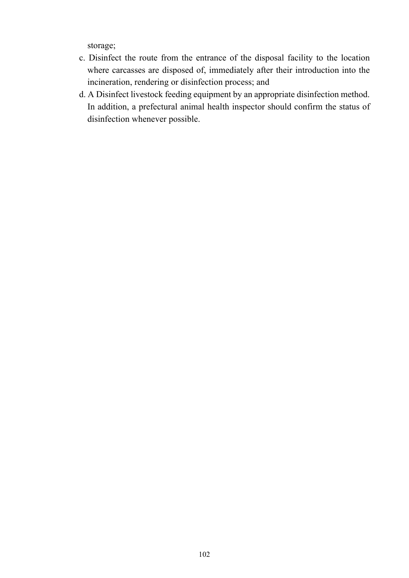storage;

- c. Disinfect the route from the entrance of the disposal facility to the location where carcasses are disposed of, immediately after their introduction into the incineration, rendering or disinfection process; and
- d. A Disinfect livestock feeding equipment by an appropriate disinfection method. In addition, a prefectural animal health inspector should confirm the status of disinfection whenever possible.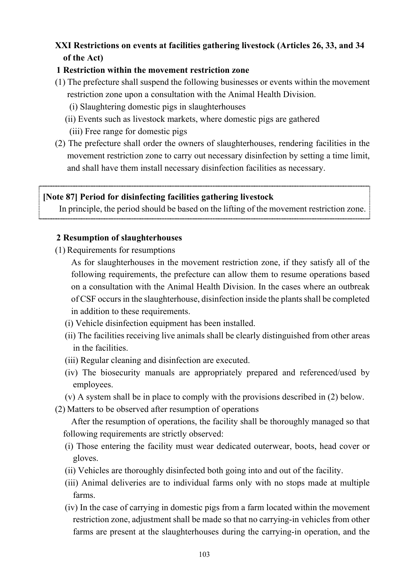# <span id="page-14-0"></span>**XXI Restrictions on events at facilities gathering livestock (Articles 26, 33, and 34 of the Act)**

# **1 Restriction within the movement restriction zone**

- (1) The prefecture shall suspend the following businesses or events within the movement restriction zone upon a consultation with the Animal Health Division.
	- (i) Slaughtering domestic pigs in slaughterhouses
	- (ii) Events such as livestock markets, where domestic pigs are gathered
	- (iii) Free range for domestic pigs
- (2) The prefecture shall order the owners of slaughterhouses, rendering facilities in the movement restriction zone to carry out necessary disinfection by setting a time limit, and shall have them install necessary disinfection facilities as necessary.

## **[Note 87] Period for disinfecting facilities gathering livestock**

In principle, the period should be based on the lifting of the movement restriction zone.

# **2 Resumption of slaughterhouses**

(1) Requirements for resumptions

As for slaughterhouses in the movement restriction zone, if they satisfy all of the following requirements, the prefecture can allow them to resume operations based on a consultation with the Animal Health Division. In the cases where an outbreak of CSF occurs in the slaughterhouse, disinfection inside the plants shall be completed in addition to these requirements.

- (i) Vehicle disinfection equipment has been installed.
- (ii) The facilities receiving live animals shall be clearly distinguished from other areas in the facilities.
- (iii) Regular cleaning and disinfection are executed.
- (iv) The biosecurity manuals are appropriately prepared and referenced/used by employees.
- (v) A system shall be in place to comply with the provisions described in (2) below.
- (2) Matters to be observed after resumption of operations

After the resumption of operations, the facility shall be thoroughly managed so that following requirements are strictly observed:

- (i) Those entering the facility must wear dedicated outerwear, boots, head cover or gloves.
- (ii) Vehicles are thoroughly disinfected both going into and out of the facility.
- (iii) Animal deliveries are to individual farms only with no stops made at multiple farms.
- (iv) In the case of carrying in domestic pigs from a farm located within the movement restriction zone, adjustment shall be made so that no carrying-in vehicles from other farms are present at the slaughterhouses during the carrying-in operation, and the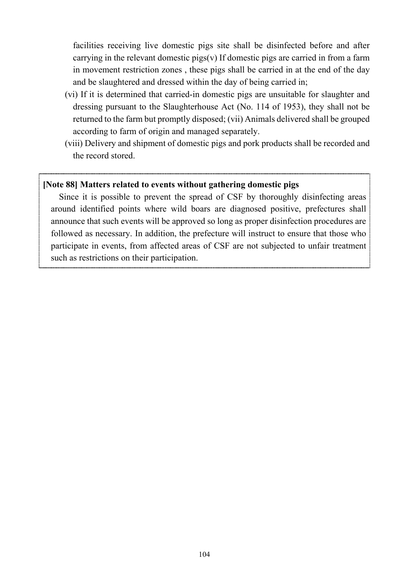facilities receiving live domestic pigs site shall be disinfected before and after carrying in the relevant domestic pigs $(v)$  If domestic pigs are carried in from a farm in movement restriction zones , these pigs shall be carried in at the end of the day and be slaughtered and dressed within the day of being carried in;

- (vi) If it is determined that carried-in domestic pigs are unsuitable for slaughter and dressing pursuant to the Slaughterhouse Act (No. 114 of 1953), they shall not be returned to the farm but promptly disposed; (vii) Animals delivered shall be grouped according to farm of origin and managed separately.
- (viii) Delivery and shipment of domestic pigs and pork products shall be recorded and the record stored.

## **[Note 88] Matters related to events without gathering domestic pigs**

Since it is possible to prevent the spread of CSF by thoroughly disinfecting areas around identified points where wild boars are diagnosed positive, prefectures shall announce that such events will be approved so long as proper disinfection procedures are followed as necessary. In addition, the prefecture will instruct to ensure that those who participate in events, from affected areas of CSF are not subjected to unfair treatment such as restrictions on their participation.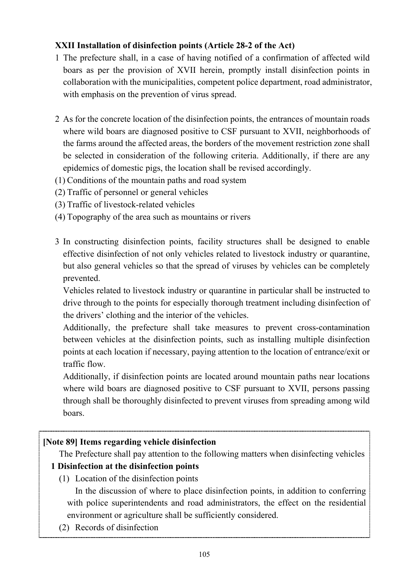# <span id="page-16-0"></span>**XXII Installation of disinfection points (Article 28-2 of the Act)**

- 1 The prefecture shall, in a case of having notified of a confirmation of affected wild boars as per the provision of XVII herein, promptly install disinfection points in collaboration with the municipalities, competent police department, road administrator, with emphasis on the prevention of virus spread.
- 2 As for the concrete location of the disinfection points, the entrances of mountain roads where wild boars are diagnosed positive to CSF pursuant to XVII, neighborhoods of the farms around the affected areas, the borders of the movement restriction zone shall be selected in consideration of the following criteria. Additionally, if there are any epidemics of domestic pigs, the location shall be revised accordingly.
- (1) Conditions of the mountain paths and road system
- (2) Traffic of personnel or general vehicles
- (3) Traffic of livestock-related vehicles
- (4) Topography of the area such as mountains or rivers
- 3 In constructing disinfection points, facility structures shall be designed to enable effective disinfection of not only vehicles related to livestock industry or quarantine, but also general vehicles so that the spread of viruses by vehicles can be completely prevented.

Vehicles related to livestock industry or quarantine in particular shall be instructed to drive through to the points for especially thorough treatment including disinfection of the drivers' clothing and the interior of the vehicles.

Additionally, the prefecture shall take measures to prevent cross-contamination between vehicles at the disinfection points, such as installing multiple disinfection points at each location if necessary, paying attention to the location of entrance/exit or traffic flow.

Additionally, if disinfection points are located around mountain paths near locations where wild boars are diagnosed positive to CSF pursuant to XVII, persons passing through shall be thoroughly disinfected to prevent viruses from spreading among wild boars.

# **[Note 89] Items regarding vehicle disinfection**

The Prefecture shall pay attention to the following matters when disinfecting vehicles

# **1 Disinfection at the disinfection points**

(1) Location of the disinfection points

In the discussion of where to place disinfection points, in addition to conferring with police superintendents and road administrators, the effect on the residential environment or agriculture shall be sufficiently considered.

(2) Records of disinfection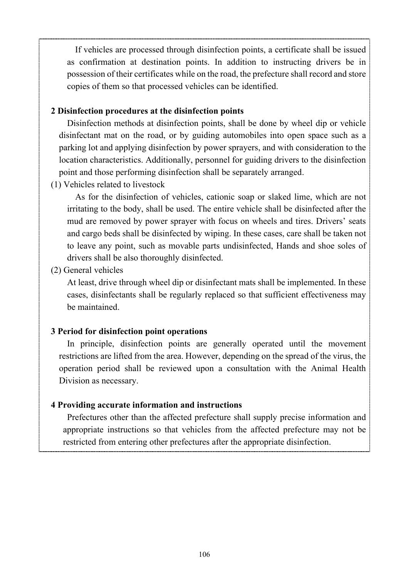If vehicles are processed through disinfection points, a certificate shall be issued as confirmation at destination points. In addition to instructing drivers be in possession of their certificates while on the road, the prefecture shall record and store copies of them so that processed vehicles can be identified.

## **2 Disinfection procedures at the disinfection points**

Disinfection methods at disinfection points, shall be done by wheel dip or vehicle disinfectant mat on the road, or by guiding automobiles into open space such as a parking lot and applying disinfection by power sprayers, and with consideration to the location characteristics. Additionally, personnel for guiding drivers to the disinfection point and those performing disinfection shall be separately arranged.

(1) Vehicles related to livestock

As for the disinfection of vehicles, cationic soap or slaked lime, which are not irritating to the body, shall be used. The entire vehicle shall be disinfected after the mud are removed by power sprayer with focus on wheels and tires. Drivers' seats and cargo beds shall be disinfected by wiping. In these cases, care shall be taken not to leave any point, such as movable parts undisinfected, Hands and shoe soles of drivers shall be also thoroughly disinfected.

(2) General vehicles

At least, drive through wheel dip or disinfectant mats shall be implemented. In these cases, disinfectants shall be regularly replaced so that sufficient effectiveness may be maintained.

## **3 Period for disinfection point operations**

In principle, disinfection points are generally operated until the movement restrictions are lifted from the area. However, depending on the spread of the virus, the operation period shall be reviewed upon a consultation with the Animal Health Division as necessary.

## **4 Providing accurate information and instructions**

Prefectures other than the affected prefecture shall supply precise information and appropriate instructions so that vehicles from the affected prefecture may not be restricted from entering other prefectures after the appropriate disinfection.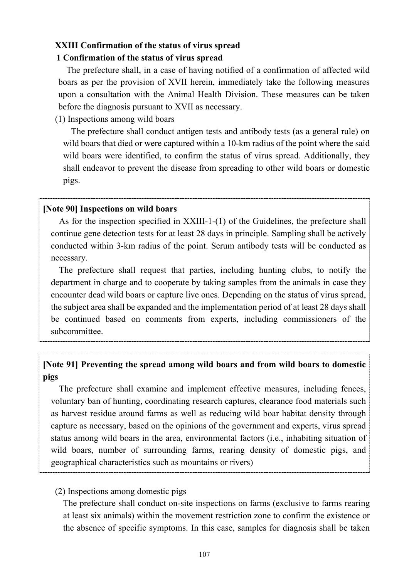# <span id="page-18-0"></span>**XXIII Confirmation of the status of virus spread**

## **1 Confirmation of the status of virus spread**

The prefecture shall, in a case of having notified of a confirmation of affected wild boars as per the provision of XVII herein, immediately take the following measures upon a consultation with the Animal Health Division. These measures can be taken before the diagnosis pursuant to XVII as necessary.

## (1) Inspections among wild boars

The prefecture shall conduct antigen tests and antibody tests (as a general rule) on wild boars that died or were captured within a 10-km radius of the point where the said wild boars were identified, to confirm the status of virus spread. Additionally, they shall endeavor to prevent the disease from spreading to other wild boars or domestic pigs.

## **[Note 90] Inspections on wild boars**

As for the inspection specified in XXIII-1-(1) of the Guidelines, the prefecture shall continue gene detection tests for at least 28 days in principle. Sampling shall be actively conducted within 3-km radius of the point. Serum antibody tests will be conducted as necessary.

The prefecture shall request that parties, including hunting clubs, to notify the department in charge and to cooperate by taking samples from the animals in case they encounter dead wild boars or capture live ones. Depending on the status of virus spread, the subject area shall be expanded and the implementation period of at least 28 days shall be continued based on comments from experts, including commissioners of the subcommittee.

# **[Note 91] Preventing the spread among wild boars and from wild boars to domestic pigs**

The prefecture shall examine and implement effective measures, including fences, voluntary ban of hunting, coordinating research captures, clearance food materials such as harvest residue around farms as well as reducing wild boar habitat density through capture as necessary, based on the opinions of the government and experts, virus spread status among wild boars in the area, environmental factors (i.e., inhabiting situation of wild boars, number of surrounding farms, rearing density of domestic pigs, and geographical characteristics such as mountains or rivers)

## (2) Inspections among domestic pigs

The prefecture shall conduct on-site inspections on farms (exclusive to farms rearing at least six animals) within the movement restriction zone to confirm the existence or the absence of specific symptoms. In this case, samples for diagnosis shall be taken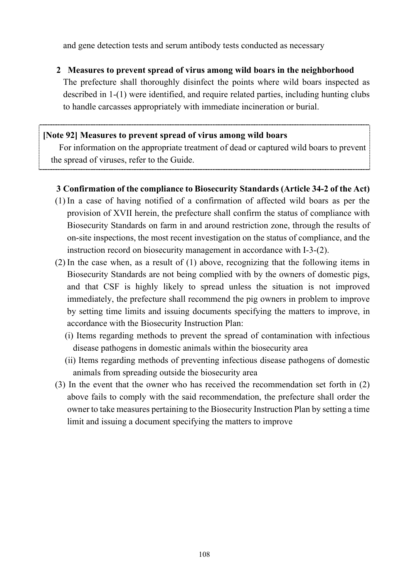and gene detection tests and serum antibody tests conducted as necessary

**2 Measures to prevent spread of virus among wild boars in the neighborhood**

The prefecture shall thoroughly disinfect the points where wild boars inspected as described in 1-(1) were identified, and require related parties, including hunting clubs to handle carcasses appropriately with immediate incineration or burial.

# **[Note 92] Measures to prevent spread of virus among wild boars**

For information on the appropriate treatment of dead or captured wild boars to prevent the spread of viruses, refer to the Guide.

# **3 Confirmation of the compliance to Biosecurity Standards (Article 34-2 of the Act)**

- (1) In a case of having notified of a confirmation of affected wild boars as per the provision of XVII herein, the prefecture shall confirm the status of compliance with Biosecurity Standards on farm in and around restriction zone, through the results of on-site inspections, the most recent investigation on the status of compliance, and the instruction record on biosecurity management in accordance with I-3-(2).
- (2) In the case when, as a result of (1) above, recognizing that the following items in Biosecurity Standards are not being complied with by the owners of domestic pigs, and that CSF is highly likely to spread unless the situation is not improved immediately, the prefecture shall recommend the pig owners in problem to improve by setting time limits and issuing documents specifying the matters to improve, in accordance with the Biosecurity Instruction Plan:
	- (i) Items regarding methods to prevent the spread of contamination with infectious disease pathogens in domestic animals within the biosecurity area
	- (ii) Items regarding methods of preventing infectious disease pathogens of domestic animals from spreading outside the biosecurity area
- (3) In the event that the owner who has received the recommendation set forth in (2) above fails to comply with the said recommendation, the prefecture shall order the owner to take measures pertaining to the Biosecurity Instruction Plan by setting a time limit and issuing a document specifying the matters to improve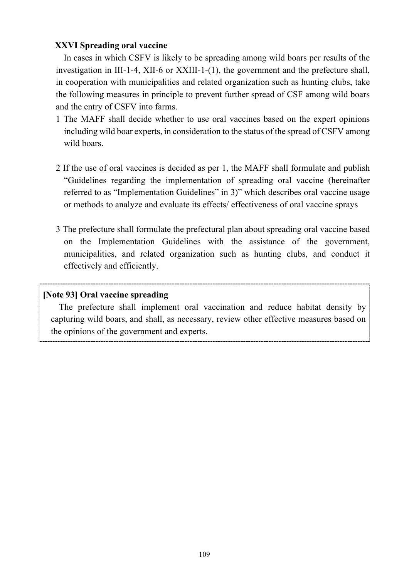## <span id="page-20-0"></span>**XXVI Spreading oral vaccine**

In cases in which CSFV is likely to be spreading among wild boars per results of the investigation in III-1-4, XII-6 or XXIII-1-(1), the government and the prefecture shall, in cooperation with municipalities and related organization such as hunting clubs, take the following measures in principle to prevent further spread of CSF among wild boars and the entry of CSFV into farms.

- 1 The MAFF shall decide whether to use oral vaccines based on the expert opinions including wild boar experts, in consideration to the status of the spread of CSFV among wild boars.
- 2 If the use of oral vaccines is decided as per 1, the MAFF shall formulate and publish "Guidelines regarding the implementation of spreading oral vaccine (hereinafter referred to as "Implementation Guidelines" in 3)" which describes oral vaccine usage or methods to analyze and evaluate its effects/ effectiveness of oral vaccine sprays
- 3 The prefecture shall formulate the prefectural plan about spreading oral vaccine based on the Implementation Guidelines with the assistance of the government, municipalities, and related organization such as hunting clubs, and conduct it effectively and efficiently.

## **[Note 93] Oral vaccine spreading**

The prefecture shall implement oral vaccination and reduce habitat density by capturing wild boars, and shall, as necessary, review other effective measures based on the opinions of the government and experts.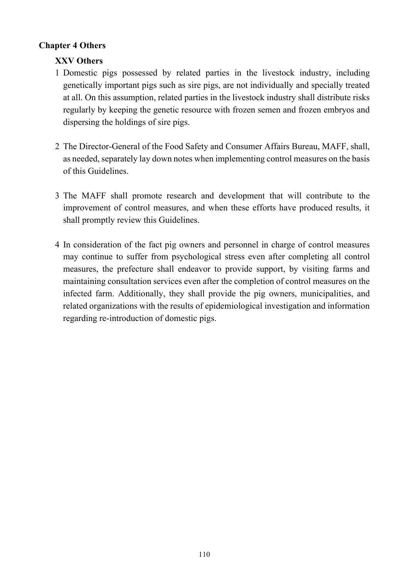## <span id="page-21-1"></span><span id="page-21-0"></span>**Chapter 4 Others**

# **XXV Others**

- 1 Domestic pigs possessed by related parties in the livestock industry, including genetically important pigs such as sire pigs, are not individually and specially treated at all. On this assumption, related parties in the livestock industry shall distribute risks regularly by keeping the genetic resource with frozen semen and frozen embryos and dispersing the holdings of sire pigs.
- 2 The Director-General of the Food Safety and Consumer Affairs Bureau, MAFF, shall, as needed, separately lay down notes when implementing control measures on the basis of this Guidelines.
- 3 The MAFF shall promote research and development that will contribute to the improvement of control measures, and when these efforts have produced results, it shall promptly review this Guidelines.
- 4 In consideration of the fact pig owners and personnel in charge of control measures may continue to suffer from psychological stress even after completing all control measures, the prefecture shall endeavor to provide support, by visiting farms and maintaining consultation services even after the completion of control measures on the infected farm. Additionally, they shall provide the pig owners, municipalities, and related organizations with the results of epidemiological investigation and information regarding re-introduction of domestic pigs.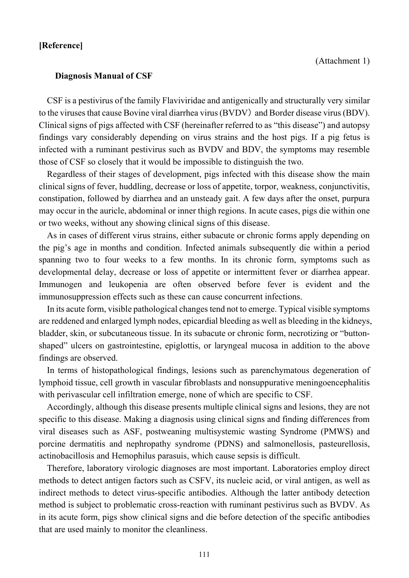### <span id="page-22-0"></span>**[Reference]**

### <span id="page-22-1"></span>**Diagnosis Manual of CSF**

CSF is a pestivirus of the family Flaviviridae and antigenically and structurally very similar to the viruses that cause Bovine viral diarrhea virus (BVDV) and Border disease virus (BDV). Clinical signs of pigs affected with CSF (hereinafter referred to as "this disease") and autopsy findings vary considerably depending on virus strains and the host pigs. If a pig fetus is infected with a ruminant pestivirus such as BVDV and BDV, the symptoms may resemble those of CSF so closely that it would be impossible to distinguish the two.

Regardless of their stages of development, pigs infected with this disease show the main clinical signs of fever, huddling, decrease or loss of appetite, torpor, weakness, conjunctivitis, constipation, followed by diarrhea and an unsteady gait. A few days after the onset, purpura may occur in the auricle, abdominal or inner thigh regions. In acute cases, pigs die within one or two weeks, without any showing clinical signs of this disease.

As in cases of different virus strains, either subacute or chronic forms apply depending on the pig's age in months and condition. Infected animals subsequently die within a period spanning two to four weeks to a few months. In its chronic form, symptoms such as developmental delay, decrease or loss of appetite or intermittent fever or diarrhea appear. Immunogen and leukopenia are often observed before fever is evident and the immunosuppression effects such as these can cause concurrent infections.

In its acute form, visible pathological changes tend not to emerge. Typical visible symptoms are reddened and enlarged lymph nodes, epicardial bleeding as well as bleeding in the kidneys, bladder, skin, or subcutaneous tissue. In its subacute or chronic form, necrotizing or "buttonshaped" ulcers on gastrointestine, epiglottis, or laryngeal mucosa in addition to the above findings are observed.

In terms of histopathological findings, lesions such as parenchymatous degeneration of lymphoid tissue, cell growth in vascular fibroblasts and nonsuppurative meningoencephalitis with perivascular cell infiltration emerge, none of which are specific to CSF.

Accordingly, although this disease presents multiple clinical signs and lesions, they are not specific to this disease. Making a diagnosis using clinical signs and finding differences from viral diseases such as ASF, postweaning multisystemic wasting Syndrome (PMWS) and porcine dermatitis and nephropathy syndrome (PDNS) and salmonellosis, pasteurellosis, actinobacillosis and Hemophilus parasuis, which cause sepsis is difficult.

Therefore, laboratory virologic diagnoses are most important. Laboratories employ direct methods to detect antigen factors such as CSFV, its nucleic acid, or viral antigen, as well as indirect methods to detect virus-specific antibodies. Although the latter antibody detection method is subject to problematic cross-reaction with ruminant pestivirus such as BVDV. As in its acute form, pigs show clinical signs and die before detection of the specific antibodies that are used mainly to monitor the cleanliness.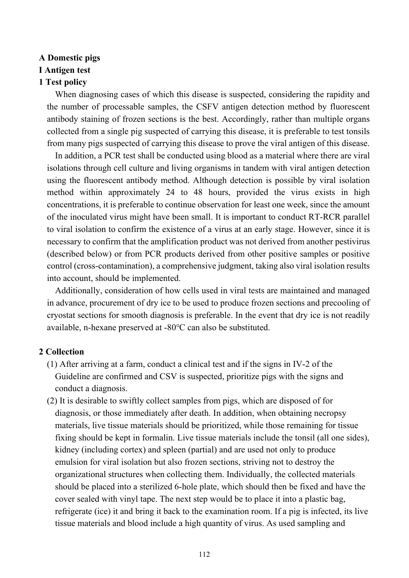# **A Domestic pigs**

# **I Antigen test**

# **1 Test policy**

When diagnosing cases of which this disease is suspected, considering the rapidity and the number of processable samples, the CSFV antigen detection method by fluorescent antibody staining of frozen sections is the best. Accordingly, rather than multiple organs collected from a single pig suspected of carrying this disease, it is preferable to test tonsils from many pigs suspected of carrying this disease to prove the viral antigen of this disease.

In addition, a PCR test shall be conducted using blood as a material where there are viral isolations through cell culture and living organisms in tandem with viral antigen detection using the fluorescent antibody method. Although detection is possible by viral isolation method within approximately 24 to 48 hours, provided the virus exists in high concentrations, it is preferable to continue observation for least one week, since the amount of the inoculated virus might have been small. It is important to conduct RT-RCR parallel to viral isolation to confirm the existence of a virus at an early stage. However, since it is necessary to confirm that the amplification product was not derived from another pestivirus (described below) or from PCR products derived from other positive samples or positive control (cross-contamination), a comprehensive judgment, taking also viral isolation results into account, should be implemented.

Additionally, consideration of how cells used in viral tests are maintained and managed in advance, procurement of dry ice to be used to produce frozen sections and precooling of cryostat sections for smooth diagnosis is preferable. In the event that dry ice is not readily available, n-hexane preserved at -80℃ can also be substituted.

## **2 Collection**

- (1) After arriving at a farm, conduct a clinical test and if the signs in IV-2 of the Guideline are confirmed and CSV is suspected, prioritize pigs with the signs and conduct a diagnosis.
- (2) It is desirable to swiftly collect samples from pigs, which are disposed of for diagnosis, or those immediately after death. In addition, when obtaining necropsy materials, live tissue materials should be prioritized, while those remaining for tissue fixing should be kept in formalin. Live tissue materials include the tonsil (all one sides), kidney (including cortex) and spleen (partial) and are used not only to produce emulsion for viral isolation but also frozen sections, striving not to destroy the organizational structures when collecting them. Individually, the collected materials should be placed into a sterilized 6-hole plate, which should then be fixed and have the cover sealed with vinyl tape. The next step would be to place it into a plastic bag, refrigerate (ice) it and bring it back to the examination room. If a pig is infected, its live tissue materials and blood include a high quantity of virus. As used sampling and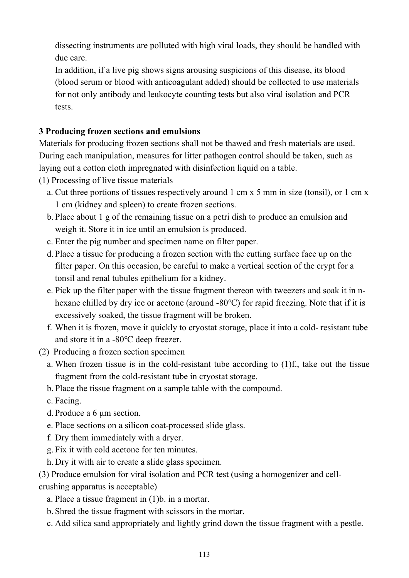dissecting instruments are polluted with high viral loads, they should be handled with due care.

In addition, if a live pig shows signs arousing suspicions of this disease, its blood (blood serum or blood with anticoagulant added) should be collected to use materials for not only antibody and leukocyte counting tests but also viral isolation and PCR tests.

# **3 Producing frozen sections and emulsions**

Materials for producing frozen sections shall not be thawed and fresh materials are used. During each manipulation, measures for litter pathogen control should be taken, such as laying out a cotton cloth impregnated with disinfection liquid on a table.

- (1) Processing of live tissue materials
	- a. Cut three portions of tissues respectively around 1 cm x 5 mm in size (tonsil), or 1 cm x 1 cm (kidney and spleen) to create frozen sections.
	- b. Place about 1 g of the remaining tissue on a petri dish to produce an emulsion and weigh it. Store it in ice until an emulsion is produced.
	- c. Enter the pig number and specimen name on filter paper.
	- d. Place a tissue for producing a frozen section with the cutting surface face up on the filter paper. On this occasion, be careful to make a vertical section of the crypt for a tonsil and renal tubules epithelium for a kidney.
	- e. Pick up the filter paper with the tissue fragment thereon with tweezers and soak it in nhexane chilled by dry ice or acetone (around -80℃) for rapid freezing. Note that if it is excessively soaked, the tissue fragment will be broken.
	- f. When it is frozen, move it quickly to cryostat storage, place it into a cold- resistant tube and store it in a -80℃ deep freezer.
- (2) Producing a frozen section specimen
	- a. When frozen tissue is in the cold-resistant tube according to (1)f., take out the tissue fragment from the cold-resistant tube in cryostat storage.

b. Place the tissue fragment on a sample table with the compound.

- c. Facing.
- d. Produce a 6 μm section.
- e. Place sections on a silicon coat-processed slide glass.
- f. Dry them immediately with a dryer.
- g. Fix it with cold acetone for ten minutes.
- h. Dry it with air to create a slide glass specimen.

(3) Produce emulsion for viral isolation and PCR test (using a homogenizer and cellcrushing apparatus is acceptable)

- a. Place a tissue fragment in (1)b. in a mortar.
- b. Shred the tissue fragment with scissors in the mortar.
- c. Add silica sand appropriately and lightly grind down the tissue fragment with a pestle.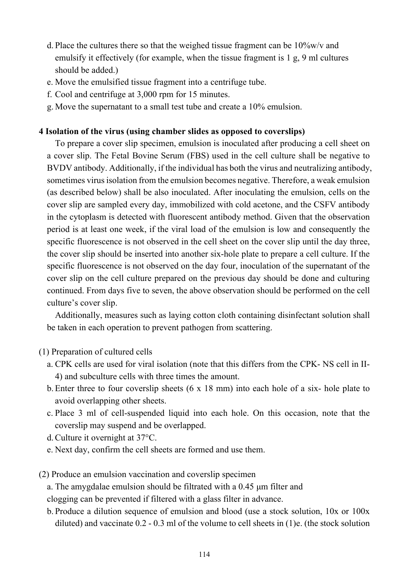- d. Place the cultures there so that the weighed tissue fragment can be 10%w/v and emulsify it effectively (for example, when the tissue fragment is 1 g, 9 ml cultures should be added.)
- e. Move the emulsified tissue fragment into a centrifuge tube.
- f. Cool and centrifuge at 3,000 rpm for 15 minutes.
- g. Move the supernatant to a small test tube and create a 10% emulsion.

## **4 Isolation of the virus (using chamber slides as opposed to coverslips)**

To prepare a cover slip specimen, emulsion is inoculated after producing a cell sheet on a cover slip. The Fetal Bovine Serum (FBS) used in the cell culture shall be negative to BVDV antibody. Additionally, if the individual has both the virus and neutralizing antibody, sometimes virus isolation from the emulsion becomes negative. Therefore, a weak emulsion (as described below) shall be also inoculated. After inoculating the emulsion, cells on the cover slip are sampled every day, immobilized with cold acetone, and the CSFV antibody in the cytoplasm is detected with fluorescent antibody method. Given that the observation period is at least one week, if the viral load of the emulsion is low and consequently the specific fluorescence is not observed in the cell sheet on the cover slip until the day three, the cover slip should be inserted into another six-hole plate to prepare a cell culture. If the specific fluorescence is not observed on the day four, inoculation of the supernatant of the cover slip on the cell culture prepared on the previous day should be done and culturing continued. From days five to seven, the above observation should be performed on the cell culture's cover slip.

Additionally, measures such as laying cotton cloth containing disinfectant solution shall be taken in each operation to prevent pathogen from scattering.

## (1) Preparation of cultured cells

- a. CPK cells are used for viral isolation (note that this differs from the CPK- NS cell in II-4) and subculture cells with three times the amount.
- b. Enter three to four coverslip sheets (6 x 18 mm) into each hole of a six- hole plate to avoid overlapping other sheets.
- c. Place 3 ml of cell-suspended liquid into each hole. On this occasion, note that the coverslip may suspend and be overlapped.
- d.Culture it overnight at 37°C.
- e. Next day, confirm the cell sheets are formed and use them.
- (2) Produce an emulsion vaccination and coverslip specimen
	- a. The amygdalae emulsion should be filtrated with a 0.45 μm filter and

clogging can be prevented if filtered with a glass filter in advance.

b. Produce a dilution sequence of emulsion and blood (use a stock solution, 10x or 100x diluted) and vaccinate 0.2 - 0.3 ml of the volume to cell sheets in (1)e. (the stock solution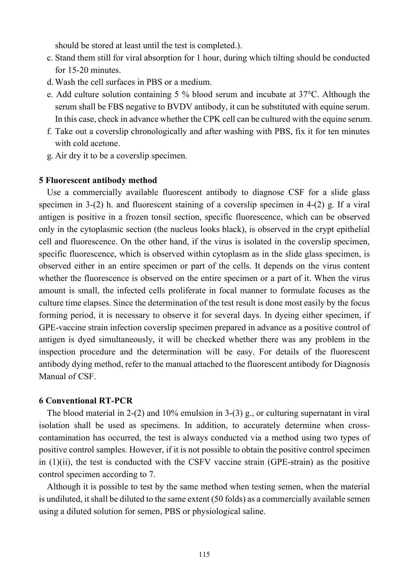should be stored at least until the test is completed.).

- c. Stand them still for viral absorption for 1 hour, during which tilting should be conducted for 15-20 minutes.
- d.Wash the cell surfaces in PBS or a medium.
- e. Add culture solution containing 5 % blood serum and incubate at 37°C. Although the serum shall be FBS negative to BVDV antibody, it can be substituted with equine serum. In this case, check in advance whether the CPK cell can be cultured with the equine serum.
- f. Take out a coverslip chronologically and after washing with PBS, fix it for ten minutes with cold acetone.
- g. Air dry it to be a coverslip specimen.

### **5 Fluorescent antibody method**

Use a commercially available fluorescent antibody to diagnose CSF for a slide glass specimen in 3-(2) h. and fluorescent staining of a coverslip specimen in 4-(2) g. If a viral antigen is positive in a frozen tonsil section, specific fluorescence, which can be observed only in the cytoplasmic section (the nucleus looks black), is observed in the crypt epithelial cell and fluorescence. On the other hand, if the virus is isolated in the coverslip specimen, specific fluorescence, which is observed within cytoplasm as in the slide glass specimen, is observed either in an entire specimen or part of the cells. It depends on the virus content whether the fluorescence is observed on the entire specimen or a part of it. When the virus amount is small, the infected cells proliferate in focal manner to formulate focuses as the culture time elapses. Since the determination of the test result is done most easily by the focus forming period, it is necessary to observe it for several days. In dyeing either specimen, if GPE-vaccine strain infection coverslip specimen prepared in advance as a positive control of antigen is dyed simultaneously, it will be checked whether there was any problem in the inspection procedure and the determination will be easy. For details of the fluorescent antibody dying method, refer to the manual attached to the fluorescent antibody for Diagnosis Manual of CSF.

#### **6 Conventional RT-PCR**

The blood material in 2-(2) and 10% emulsion in 3-(3) g., or culturing supernatant in viral isolation shall be used as specimens. In addition, to accurately determine when crosscontamination has occurred, the test is always conducted via a method using two types of positive control samples. However, if it is not possible to obtain the positive control specimen in (1)(ii), the test is conducted with the CSFV vaccine strain (GPE-strain) as the positive control specimen according to 7.

Although it is possible to test by the same method when testing semen, when the material is undiluted, it shall be diluted to the same extent (50 folds) as a commercially available semen using a diluted solution for semen, PBS or physiological saline.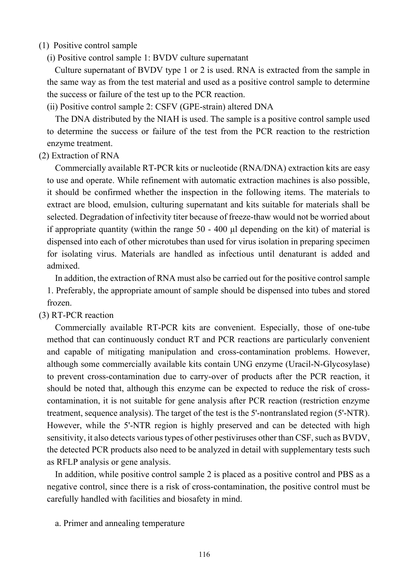### (1) Positive control sample

(i) Positive control sample 1: BVDV culture supernatant

Culture supernatant of BVDV type 1 or 2 is used. RNA is extracted from the sample in the same way as from the test material and used as a positive control sample to determine the success or failure of the test up to the PCR reaction.

(ii) Positive control sample 2: CSFV (GPE-strain) altered DNA

The DNA distributed by the NIAH is used. The sample is a positive control sample used to determine the success or failure of the test from the PCR reaction to the restriction enzyme treatment.

### (2) Extraction of RNA

Commercially available RT-PCR kits or nucleotide (RNA/DNA) extraction kits are easy to use and operate. While refinement with automatic extraction machines is also possible, it should be confirmed whether the inspection in the following items. The materials to extract are blood, emulsion, culturing supernatant and kits suitable for materials shall be selected. Degradation of infectivity titer because of freeze-thaw would not be worried about if appropriate quantity (within the range 50 - 400 μl depending on the kit) of material is dispensed into each of other microtubes than used for virus isolation in preparing specimen for isolating virus. Materials are handled as infectious until denaturant is added and admixed.

In addition, the extraction of RNA must also be carried out for the positive control sample 1. Preferably, the appropriate amount of sample should be dispensed into tubes and stored frozen.

## (3) RT-PCR reaction

Commercially available RT-PCR kits are convenient. Especially, those of one-tube method that can continuously conduct RT and PCR reactions are particularly convenient and capable of mitigating manipulation and cross-contamination problems. However, although some commercially available kits contain UNG enzyme (Uracil-N-Glycosylase) to prevent cross-contamination due to carry-over of products after the PCR reaction, it should be noted that, although this enzyme can be expected to reduce the risk of crosscontamination, it is not suitable for gene analysis after PCR reaction (restriction enzyme treatment, sequence analysis). The target of the test is the 5'-nontranslated region (5'-NTR). However, while the 5'-NTR region is highly preserved and can be detected with high sensitivity, it also detects various types of other pestiviruses other than CSF, such as BVDV, the detected PCR products also need to be analyzed in detail with supplementary tests such as RFLP analysis or gene analysis.

In addition, while positive control sample 2 is placed as a positive control and PBS as a negative control, since there is a risk of cross-contamination, the positive control must be carefully handled with facilities and biosafety in mind.

a. Primer and annealing temperature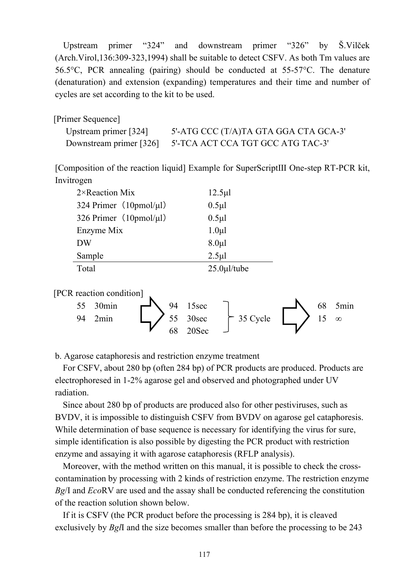Upstream primer "324" and downstream primer "326" by Š.Vilček (Arch.Virol,136:309-323,1994) shall be suitable to detect CSFV. As both Tm values are 56.5°C, PCR annealing (pairing) should be conducted at 55-57°C. The denature (denaturation) and extension (expanding) temperatures and their time and number of cycles are set according to the kit to be used.

| [Primer Sequence]       |                                                           |
|-------------------------|-----------------------------------------------------------|
| Upstream primer $[324]$ | 5'-ATG CCC (T/A)TA GTA GGA CTA GCA-3'                     |
|                         | Downstream primer [326] 5'-TCA ACT CCA TGT GCC ATG TAC-3' |

[Composition of the reaction liquid] Example for SuperScriptⅢ One-step RT-PCR kit, Invitrogen

| $2 \times$ Reaction Mix             | $12.5 \mu$        |
|-------------------------------------|-------------------|
| 324 Primer $(10 \text{pmol/}\mu l)$ | $0.5 \mu$ l       |
| 326 Primer $(10 \text{pmol/}\mu l)$ | $0.5 \mu$ l       |
| Enzyme Mix                          | $1.0\mu$          |
| DW                                  | $8.0 \mu l$       |
| Sample                              | $2.5 \mu$         |
| Total                               | $25.0 \mu$ l/tube |

[PCR reaction condition]



b. Agarose cataphoresis and restriction enzyme treatment

For CSFV, about 280 bp (often 284 bp) of PCR products are produced. Products are electrophoresed in 1-2% agarose gel and observed and photographed under UV radiation.

Since about 280 bp of products are produced also for other pestiviruses, such as BVDV, it is impossible to distinguish CSFV from BVDV on agarose gel cataphoresis. While determination of base sequence is necessary for identifying the virus for sure, simple identification is also possible by digesting the PCR product with restriction enzyme and assaying it with agarose cataphoresis (RFLP analysis).

Moreover, with the method written on this manual, it is possible to check the crosscontamination by processing with 2 kinds of restriction enzyme. The restriction enzyme *Bg*/I and *Eco*RV are used and the assay shall be conducted referencing the constitution of the reaction solution shown below.

If it is CSFV (the PCR product before the processing is 284 bp), it is cleaved exclusively by *Bgl*I and the size becomes smaller than before the processing to be 243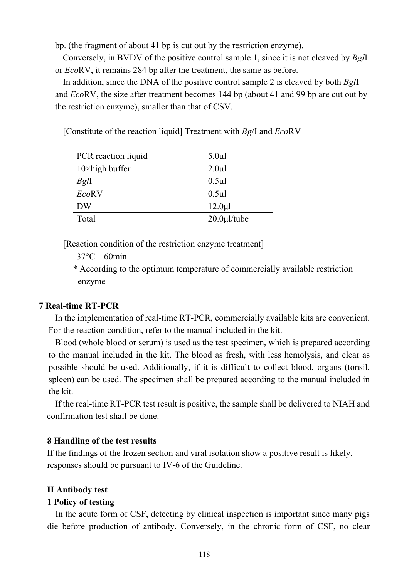bp. (the fragment of about 41 bp is cut out by the restriction enzyme).

Conversely, in BVDV of the positive control sample 1, since it is not cleaved by *Bgl*I or *Eco*RV, it remains 284 bp after the treatment, the same as before.

In addition, since the DNA of the positive control sample 2 is cleaved by both *Bgl*I and *Eco*RV, the size after treatment becomes 144 bp (about 41 and 99 bp are cut out by the restriction enzyme), smaller than that of CSV.

[Constitute of the reaction liquid] Treatment with *Bg*/I and *Eco*RV

| PCR reaction liquid     | $5.0 \mu l$       |
|-------------------------|-------------------|
| $10 \times$ high buffer | $2.0 \mu l$       |
| BglI                    | $0.5 \mu$ l       |
| EcoRV                   | $0.5 \mu$         |
| <b>DW</b>               | $12.0 \mu$ l      |
| Total                   | $20.0 \mu$ l/tube |

[Reaction condition of the restriction enzyme treatment]

37°C 60min

\* According to the optimum temperature of commercially available restriction enzyme

### **7 Real-time RT-PCR**

In the implementation of real-time RT-PCR, commercially available kits are convenient. For the reaction condition, refer to the manual included in the kit.

Blood (whole blood or serum) is used as the test specimen, which is prepared according to the manual included in the kit. The blood as fresh, with less hemolysis, and clear as possible should be used. Additionally, if it is difficult to collect blood, organs (tonsil, spleen) can be used. The specimen shall be prepared according to the manual included in the kit.

If the real-time RT-PCR test result is positive, the sample shall be delivered to NIAH and confirmation test shall be done.

### **8 Handling of the test results**

If the findings of the frozen section and viral isolation show a positive result is likely, responses should be pursuant to IV-6 of the Guideline.

### **II Antibody test**

### **1 Policy of testing**

In the acute form of CSF, detecting by clinical inspection is important since many pigs die before production of antibody. Conversely, in the chronic form of CSF, no clear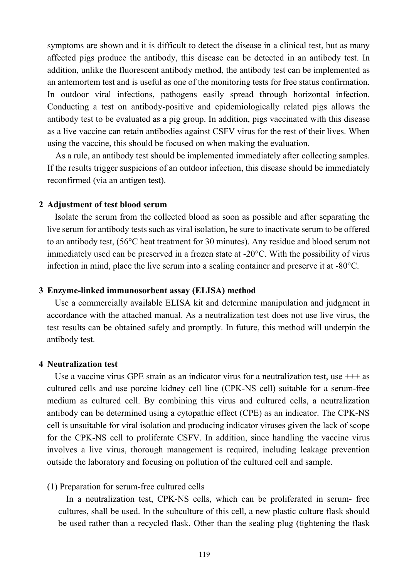symptoms are shown and it is difficult to detect the disease in a clinical test, but as many affected pigs produce the antibody, this disease can be detected in an antibody test. In addition, unlike the fluorescent antibody method, the antibody test can be implemented as an antemortem test and is useful as one of the monitoring tests for free status confirmation. In outdoor viral infections, pathogens easily spread through horizontal infection. Conducting a test on antibody-positive and epidemiologically related pigs allows the antibody test to be evaluated as a pig group. In addition, pigs vaccinated with this disease as a live vaccine can retain antibodies against CSFV virus for the rest of their lives. When using the vaccine, this should be focused on when making the evaluation.

As a rule, an antibody test should be implemented immediately after collecting samples. If the results trigger suspicions of an outdoor infection, this disease should be immediately reconfirmed (via an antigen test).

#### **2 Adjustment of test blood serum**

Isolate the serum from the collected blood as soon as possible and after separating the live serum for antibody tests such as viral isolation, be sure to inactivate serum to be offered to an antibody test, (56°C heat treatment for 30 minutes). Any residue and blood serum not immediately used can be preserved in a frozen state at -20°C. With the possibility of virus infection in mind, place the live serum into a sealing container and preserve it at -80°C.

### **3 Enzyme-linked immunosorbent assay (ELISA) method**

Use a commercially available ELISA kit and determine manipulation and judgment in accordance with the attached manual. As a neutralization test does not use live virus, the test results can be obtained safely and promptly. In future, this method will underpin the antibody test.

### **4 Neutralization test**

Use a vaccine virus GPE strain as an indicator virus for a neutralization test, use  $+++$  as cultured cells and use porcine kidney cell line (CPK-NS cell) suitable for a serum-free medium as cultured cell. By combining this virus and cultured cells, a neutralization antibody can be determined using a cytopathic effect (CPE) as an indicator. The CPK-NS cell is unsuitable for viral isolation and producing indicator viruses given the lack of scope for the CPK-NS cell to proliferate CSFV. In addition, since handling the vaccine virus involves a live virus, thorough management is required, including leakage prevention outside the laboratory and focusing on pollution of the cultured cell and sample.

### (1) Preparation for serum-free cultured cells

In a neutralization test, CPK-NS cells, which can be proliferated in serum- free cultures, shall be used. In the subculture of this cell, a new plastic culture flask should be used rather than a recycled flask. Other than the sealing plug (tightening the flask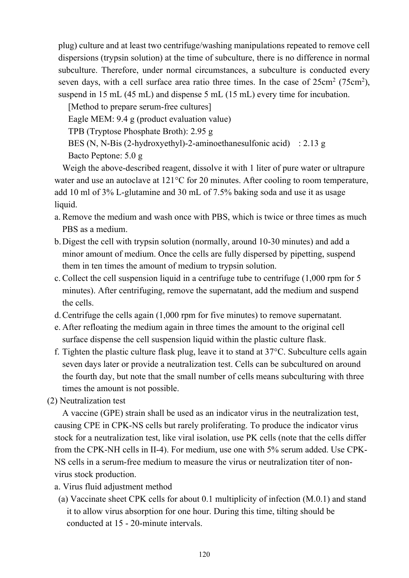plug) culture and at least two centrifuge/washing manipulations repeated to remove cell dispersions (trypsin solution) at the time of subculture, there is no difference in normal subculture. Therefore, under normal circumstances, a subculture is conducted every seven days, with a cell surface area ratio three times. In the case of  $25 \text{cm}^2$  (75cm<sup>2</sup>), suspend in 15 mL (45 mL) and dispense 5 mL (15 mL) every time for incubation.

[Method to prepare serum-free cultures]

Eagle MEM: 9.4 g (product evaluation value)

TPB (Tryptose Phosphate Broth): 2.95 g

BES (N, N-Bis (2-hydroxyethyl)-2-aminoethanesulfonic acid) : 2.13 g

Bacto Peptone: 5.0 g

Weigh the above-described reagent, dissolve it with 1 liter of pure water or ultrapure water and use an autoclave at 121<sup>o</sup>C for 20 minutes. After cooling to room temperature, add 10 ml of 3% L-glutamine and 30 mL of 7.5% baking soda and use it as usage liquid.

- a. Remove the medium and wash once with PBS, which is twice or three times as much PBS as a medium.
- b.Digest the cell with trypsin solution (normally, around 10-30 minutes) and add a minor amount of medium. Once the cells are fully dispersed by pipetting, suspend them in ten times the amount of medium to trypsin solution.
- c. Collect the cell suspension liquid in a centrifuge tube to centrifuge (1,000 rpm for 5 minutes). After centrifuging, remove the supernatant, add the medium and suspend the cells.
- d.Centrifuge the cells again (1,000 rpm for five minutes) to remove supernatant.
- e. After refloating the medium again in three times the amount to the original cell surface dispense the cell suspension liquid within the plastic culture flask.
- f. Tighten the plastic culture flask plug, leave it to stand at 37°C. Subculture cells again seven days later or provide a neutralization test. Cells can be subcultured on around the fourth day, but note that the small number of cells means subculturing with three times the amount is not possible.

(2) Neutralization test

A vaccine (GPE) strain shall be used as an indicator virus in the neutralization test, causing CPE in CPK-NS cells but rarely proliferating. To produce the indicator virus stock for a neutralization test, like viral isolation, use PK cells (note that the cells differ from the CPK-NH cells in II-4). For medium, use one with 5% serum added. Use CPK-NS cells in a serum-free medium to measure the virus or neutralization titer of nonvirus stock production.

- a. Virus fluid adjustment method
- (a) Vaccinate sheet CPK cells for about 0.1 multiplicity of infection (M.0.1) and stand it to allow virus absorption for one hour. During this time, tilting should be conducted at 15 - 20-minute intervals.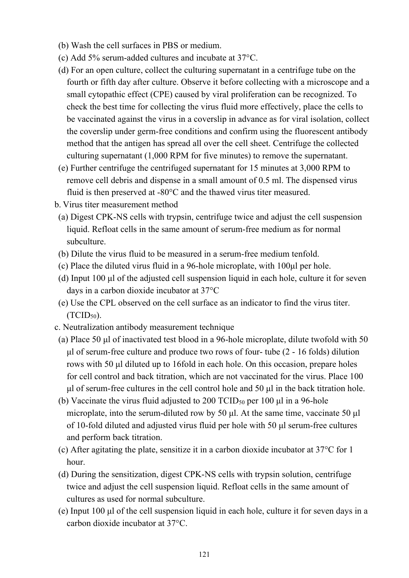- (b) Wash the cell surfaces in PBS or medium.
- (c) Add 5% serum-added cultures and incubate at 37°C.
- (d) For an open culture, collect the culturing supernatant in a centrifuge tube on the fourth or fifth day after culture. Observe it before collecting with a microscope and a small cytopathic effect (CPE) caused by viral proliferation can be recognized. To check the best time for collecting the virus fluid more effectively, place the cells to be vaccinated against the virus in a coverslip in advance as for viral isolation, collect the coverslip under germ-free conditions and confirm using the fluorescent antibody method that the antigen has spread all over the cell sheet. Centrifuge the collected culturing supernatant (1,000 RPM for five minutes) to remove the supernatant.
- (e) Further centrifuge the centrifuged supernatant for 15 minutes at 3,000 RPM to remove cell debris and dispense in a small amount of 0.5 ml. The dispensed virus fluid is then preserved at -80°C and the thawed virus titer measured.
- b. Virus titer measurement method
- (a) Digest CPK-NS cells with trypsin, centrifuge twice and adjust the cell suspension liquid. Refloat cells in the same amount of serum-free medium as for normal subculture.
- (b) Dilute the virus fluid to be measured in a serum-free medium tenfold.
- (c) Place the diluted virus fluid in a 96-hole microplate, with 100μl per hole.
- (d) Input 100 μl of the adjusted cell suspension liquid in each hole, culture it for seven days in a carbon dioxide incubator at 37°C
- (e) Use the CPL observed on the cell surface as an indicator to find the virus titer.  $(TCID<sub>50</sub>)$ .
- c. Neutralization antibody measurement technique
- (a) Place 50 μl of inactivated test blood in a 96-hole microplate, dilute twofold with 50 μl of serum-free culture and produce two rows of four- tube (2 - 16 folds) dilution rows with 50 μl diluted up to 16fold in each hole. On this occasion, prepare holes for cell control and back titration, which are not vaccinated for the virus. Place 100 μl of serum-free cultures in the cell control hole and 50 μl in the back titration hole.
- (b) Vaccinate the virus fluid adjusted to 200 TCID<sub>50</sub> per 100  $\mu$ l in a 96-hole microplate, into the serum-diluted row by 50 μl. At the same time, vaccinate 50 μl of 10-fold diluted and adjusted virus fluid per hole with 50 μl serum-free cultures and perform back titration.
- (c) After agitating the plate, sensitize it in a carbon dioxide incubator at 37°C for 1 hour.
- (d) During the sensitization, digest CPK-NS cells with trypsin solution, centrifuge twice and adjust the cell suspension liquid. Refloat cells in the same amount of cultures as used for normal subculture.
- (e) Input 100 μl of the cell suspension liquid in each hole, culture it for seven days in a carbon dioxide incubator at 37°C.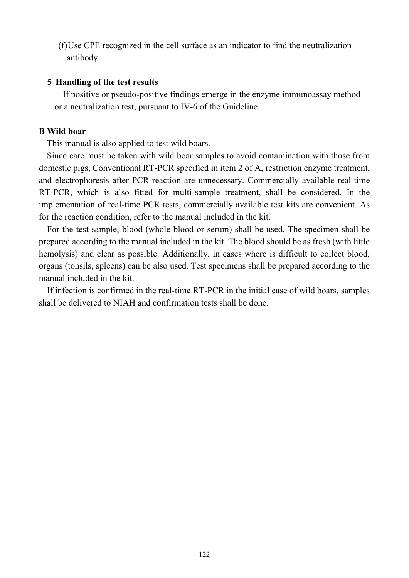(f)Use CPE recognized in the cell surface as an indicator to find the neutralization antibody.

### **5 Handling of the test results**

If positive or pseudo-positive findings emerge in the enzyme immunoassay method or a neutralization test, pursuant to IV-6 of the Guideline.

## **B Wild boar**

This manual is also applied to test wild boars.

Since care must be taken with wild boar samples to avoid contamination with those from domestic pigs, Conventional RT-PCR specified in item 2 of A, restriction enzyme treatment, and electrophoresis after PCR reaction are unnecessary. Commercially available real-time RT-PCR, which is also fitted for multi-sample treatment, shall be considered. In the implementation of real-time PCR tests, commercially available test kits are convenient. As for the reaction condition, refer to the manual included in the kit.

For the test sample, blood (whole blood or serum) shall be used. The specimen shall be prepared according to the manual included in the kit. The blood should be as fresh (with little hemolysis) and clear as possible. Additionally, in cases where is difficult to collect blood, organs (tonsils, spleens) can be also used. Test specimens shall be prepared according to the manual included in the kit.

If infection is confirmed in the real-time RT-PCR in the initial case of wild boars, samples shall be delivered to NIAH and confirmation tests shall be done.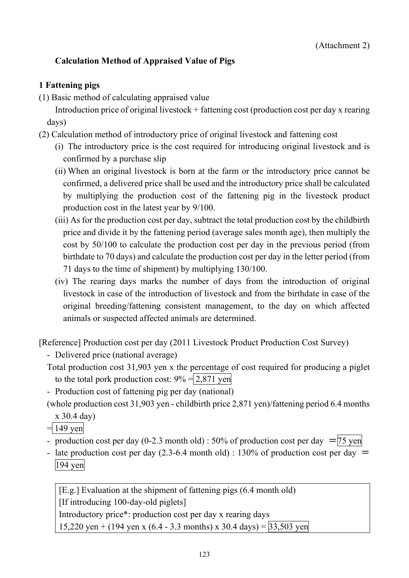# <span id="page-34-0"></span>**Calculation Method of Appraised Value of Pigs**

## **1 Fattening pigs**

(1) Basic method of calculating appraised value

Introduction price of original livestock + fattening cost (production cost per day x rearing days)

- (2) Calculation method of introductory price of original livestock and fattening cost
	- (i) The introductory price is the cost required for introducing original livestock and is confirmed by a purchase slip
	- (ii) When an original livestock is born at the farm or the introductory price cannot be confirmed, a delivered price shall be used and the introductory price shall be calculated by multiplying the production cost of the fattening pig in the livestock product production cost in the latest year by 9/100.
	- (iii) As for the production cost per day, subtract the total production cost by the childbirth price and divide it by the fattening period (average sales month age), then multiply the cost by 50/100 to calculate the production cost per day in the previous period (from birthdate to 70 days) and calculate the production cost per day in the letter period (from 71 days to the time of shipment) by multiplying 130/100.
	- (iv) The rearing days marks the number of days from the introduction of original livestock in case of the introduction of livestock and from the birthdate in case of the original breeding/fattening consistent management, to the day on which affected animals or suspected affected animals are determined.

[Reference] Production cost per day (2011 Livestock Product Production Cost Survey)

- Delivered price (national average)
- Total production cost 31,903 yen x the percentage of cost required for producing a piglet to the total pork production cost:  $9\% = 2,871$  yen
- Production cost of fattening pig per day (national)

(whole production cost 31,903 yen - childbirth price 2,871 yen)/fattening period 6.4 months

x 30.4 day)

$$
= 149 \text{ yen}
$$

- production cost per day (0-2.3 month old) : 50% of production cost per day  $=$   $\frac{75}{12}$  yen
- late production cost per day (2.3-6.4 month old) : 130% of production cost per day  $=$ 194 yen

[E.g.] Evaluation at the shipment of fattening pigs (6.4 month old) [If introducing 100-day-old piglets] Introductory price\*: production cost per day x rearing days 15,220 yen + (194 yen x (6.4 - 3.3 months) x 30.4 days) =  $33,503$  yen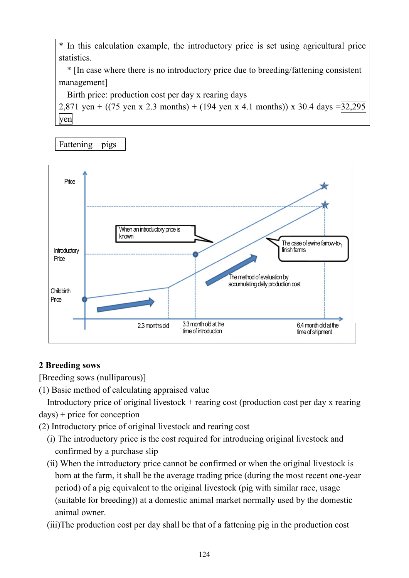\* In this calculation example, the introductory price is set using agricultural price statistics.

\* [In case where there is no introductory price due to breeding/fattening consistent management]

Birth price: production cost per day x rearing days

2,871 yen + ((75 yen x 2.3 months) + (194 yen x 4.1 months)) x 30.4 days =  $32,295$ yen

Fattening pigs



# **2 Breeding sows**

[Breeding sows (nulliparous)]

(1) Basic method of calculating appraised value

Introductory price of original livestock  $+$  rearing cost (production cost per day x rearing days) + price for conception

(2) Introductory price of original livestock and rearing cost

- (i) The introductory price is the cost required for introducing original livestock and confirmed by a purchase slip
- (ii) When the introductory price cannot be confirmed or when the original livestock is born at the farm, it shall be the average trading price (during the most recent one-year period) of a pig equivalent to the original livestock (pig with similar race, usage (suitable for breeding)) at a domestic animal market normally used by the domestic animal owner.
- (iii)The production cost per day shall be that of a fattening pig in the production cost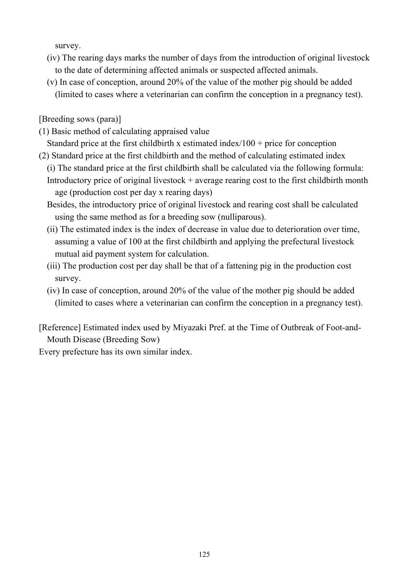survey.

- (iv) The rearing days marks the number of days from the introduction of original livestock to the date of determining affected animals or suspected affected animals.
- (v) In case of conception, around 20% of the value of the mother pig should be added (limited to cases where a veterinarian can confirm the conception in a pregnancy test).

[Breeding sows (para)]

(1) Basic method of calculating appraised value

Standard price at the first childbirth x estimated index/ $100 +$  price for conception

(2) Standard price at the first childbirth and the method of calculating estimated index (i) The standard price at the first childbirth shall be calculated via the following formula: Introductory price of original livestock  $+$  average rearing cost to the first childbirth month age (production cost per day x rearing days)

Besides, the introductory price of original livestock and rearing cost shall be calculated using the same method as for a breeding sow (nulliparous).

- (ii) The estimated index is the index of decrease in value due to deterioration over time, assuming a value of 100 at the first childbirth and applying the prefectural livestock mutual aid payment system for calculation.
- (iii) The production cost per day shall be that of a fattening pig in the production cost survey.
- (iv) In case of conception, around 20% of the value of the mother pig should be added (limited to cases where a veterinarian can confirm the conception in a pregnancy test).

[Reference] Estimated index used by Miyazaki Pref. at the Time of Outbreak of Foot-and-Mouth Disease (Breeding Sow)

Every prefecture has its own similar index.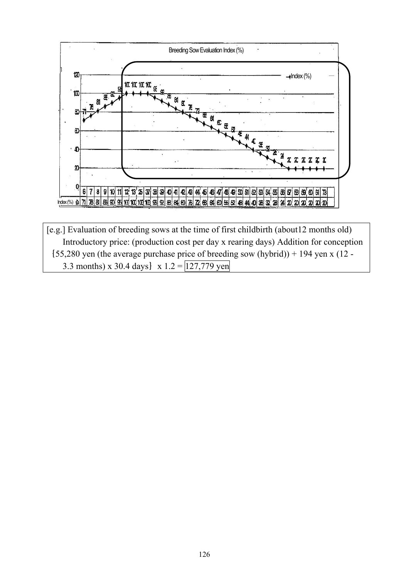

[e.g.] Evaluation of breeding sows at the time of first childbirth (about12 months old) Introductory price: (production cost per day x rearing days) Addition for conception  ${55,280 \text{ yen}}$  (the average purchase price of breeding sow (hybrid)) + 194 yen x (12 -3.3 months) x 30.4 days  $x 1.2 = 127,779$  yen